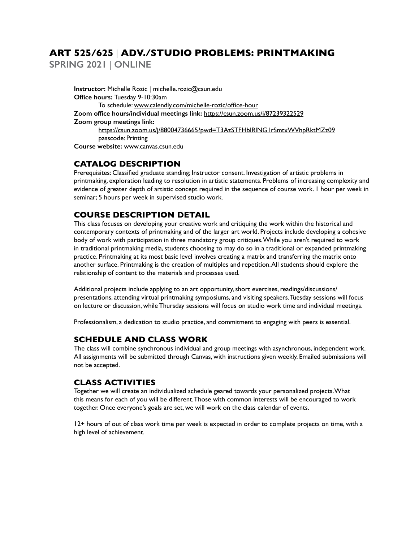# **ART 525/625** | **ADV./STUDIO PROBLEMS: PRINTMAKING**

**SPRING 2021** | **ONLINE**

**Instructor:** Michelle Rozic | michelle.rozic@csun.edu **Office hours:** Tuesday 9-10:30am To schedule: www.calendly.com/michelle-rozic/office-hour **Zoom office hours/individual meetings link:** https://csun.zoom.us/j/87239322529 **Zoom group meetings link:**  https://csun.zoom.us/j/88004736665?pwd=T3AzSTFHblRlNG1rSmtxWVhpRktMZz09 passcode: Printing **Course website:** www.canvas.csun.edu

## **CATALOG DESCRIPTION**

Prerequisites: Classified graduate standing; Instructor consent. Investigation of artistic problems in printmaking, exploration leading to resolution in artistic statements. Problems of increasing complexity and evidence of greater depth of artistic concept required in the sequence of course work. 1 hour per week in seminar; 5 hours per week in supervised studio work.

## **COURSE DESCRIPTION DETAIL**

This class focuses on developing your creative work and critiquing the work within the historical and contemporary contexts of printmaking and of the larger art world. Projects include developing a cohesive body of work with participation in three mandatory group critiques. While you aren't required to work in traditional printmaking media, students choosing to may do so in a traditional or expanded printmaking practice. Printmaking at its most basic level involves creating a matrix and transferring the matrix onto another surface. Printmaking is the creation of multiples and repetition. All students should explore the relationship of content to the materials and processes used.

Additional projects include applying to an art opportunity, short exercises, readings/discussions/ presentations, attending virtual printmaking symposiums, and visiting speakers. Tuesday sessions will focus on lecture or discussion, while Thursday sessions will focus on studio work time and individual meetings.

Professionalism, a dedication to studio practice, and commitment to engaging with peers is essential.

## **SCHEDULE AND CLASS WORK**

The class will combine synchronous individual and group meetings with asynchronous, independent work. All assignments will be submitted through Canvas, with instructions given weekly. Emailed submissions will not be accepted.

## **CLASS ACTIVITIES**

Together we will create an individualized schedule geared towards your personalized projects. What this means for each of you will be different. Those with common interests will be encouraged to work together. Once everyone's goals are set, we will work on the class calendar of events.

12+ hours of out of class work time per week is expected in order to complete projects on time, with a high level of achievement.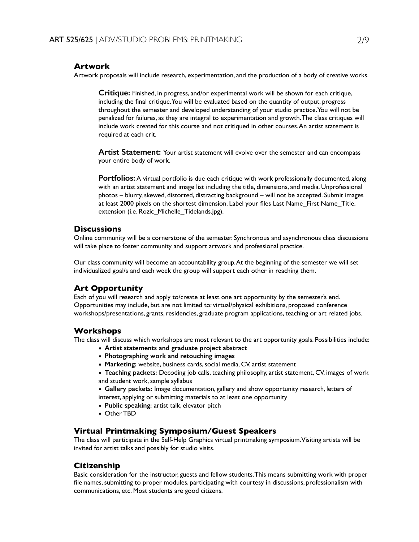### **Artwork**

Artwork proposals will include research, experimentation, and the production of a body of creative works.

**Critique:** Finished, in progress, and/or experimental work will be shown for each critique, including the final critique. You will be evaluated based on the quantity of output, progress throughout the semester and developed understanding of your studio practice. You will not be penalized for failures, as they are integral to experimentation and growth. The class critiques will include work created for this course and not critiqued in other courses. An artist statement is required at each crit.

**Artist Statement:** Your artist statement will evolve over the semester and can encompass your entire body of work.

**Portfolios:** A virtual portfolio is due each critique with work professionally documented, along with an artist statement and image list including the title, dimensions, and media. Unprofessional photos – blurry, skewed, distorted, distracting background – will not be accepted. Submit images at least 2000 pixels on the shortest dimension. Label your files Last Name\_First Name\_Title. extension (i.e. Rozic\_Michelle\_Tidelands.jpg).

## **Discussions**

Online community will be a cornerstone of the semester. Synchronous and asynchronous class discussions will take place to foster community and support artwork and professional practice.

Our class community will become an accountability group. At the beginning of the semester we will set individualized goal/s and each week the group will support each other in reaching them.

## **Art Opportunity**

Each of you will research and apply to/create at least one art opportunity by the semester's end. Opportunities may include, but are not limited to: virtual/physical exhibitions, proposed conference workshops/presentations, grants, residencies, graduate program applications, teaching or art related jobs.

### **Workshops**

The class will discuss which workshops are most relevant to the art opportunity goals. Possibilities include:

- **Artist statements and graduate project abstract**
- **Photographing work and retouching images**
- **Marketing:** website, business cards, social media, CV, artist statement
- **Teaching packets:** Decoding job calls, teaching philosophy, artist statement, CV, images of work and student work, sample syllabus

• **Gallery packets:** Image documentation, gallery and show opportunity research, letters of interest, applying or submitting materials to at least one opportunity

- **Public speaking:** artist talk, elevator pitch
- Other TBD

## **Virtual Printmaking Symposium/Guest Speakers**

The class will participate in the Self-Help Graphics virtual printmaking symposium. Visiting artists will be invited for artist talks and possibly for studio visits.

## **Citizenship**

Basic consideration for the instructor, guests and fellow students. This means submitting work with proper file names, submitting to proper modules, participating with courtesy in discussions, professionalism with communications, etc. Most students are good citizens.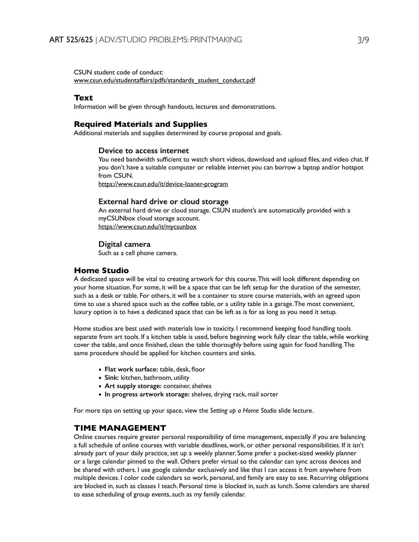CSUN student code of conduct: www.csun.edu/studentaffairs/pdfs/standards\_student\_conduct.pdf

#### **Text**

Information will be given through handouts, lectures and demonstrations.

#### **Required Materials and Supplies**

Additional materials and supplies determined by course proposal and goals.

#### **Device to access internet**

You need bandwidth sufficient to watch short videos, download and upload files, and video chat. If you don't have a suitable computer or reliable internet you can borrow a laptop and/or hotspot from CSUN.

https://www.csun.edu/it/device-loaner-program

#### **External hard drive or cloud storage**

An external hard drive or cloud storage. CSUN student's are automatically provided with a myCSUNbox cloud storage account. https://www.csun.edu/it/mycsunbox

#### **Digital camera**

Such as a cell phone camera.

### **Home Studio**

A dedicated space will be vital to creating artwork for this course. This will look different depending on your home situation. For some, it will be a space that can be left setup for the duration of the semester, such as a desk or table. For others, it will be a container to store course materials, with an agreed upon time to use a shared space such as the coffee table, or a utility table in a garage. The most convenient, luxury option is to have a dedicated space that can be left as is for as long as you need it setup.

Home studios are best used with materials low in toxicity. I recommend keeping food handling tools separate from art tools. If a kitchen table is used, before beginning work fully clear the table, while working cover the table, and once finished, clean the table thoroughly before using again for food handling. The same procedure should be applied for kitchen counters and sinks.

- **Flat work surface:** table, desk, floor
- **Sink:** kitchen, bathroom, utility
- **Art supply storage:** container, shelves
- **In progress artwork storage:** shelves, drying rack, mail sorter

For more tips on setting up your space, view the *Setting up a Home Studio* slide lecture.

## **TIME MANAGEMENT**

Online courses require greater personal responsibility of time management, especially if you are balancing a full schedule of online courses with variable deadlines, work, or other personal responsibilities. If it isn't already part of your daily practice, set up a weekly planner. Some prefer a pocket-sized weekly planner or a large calendar pinned to the wall. Others prefer virtual so the calendar can sync across devices and be shared with others. I use google calendar exclusively and like that I can access it from anywhere from multiple devices. I color code calendars so work, personal, and family are easy to see. Recurring obligations are blocked in, such as classes I teach. Personal time is blocked in, such as lunch. Some calendars are shared to ease scheduling of group events, such as my family calendar.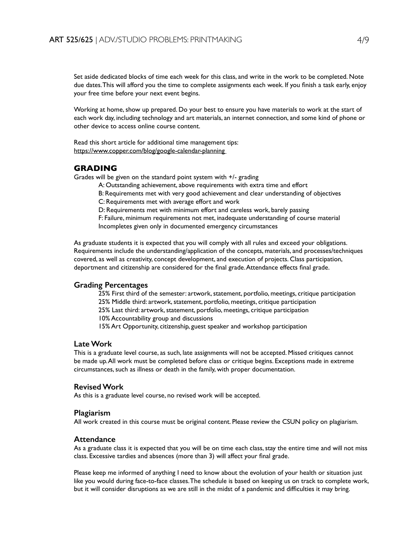Set aside dedicated blocks of time each week for this class, and write in the work to be completed. Note due dates. This will afford you the time to complete assignments each week. If you finish a task early, enjoy your free time before your next event begins.

Working at home, show up prepared. Do your best to ensure you have materials to work at the start of each work day, including technology and art materials, an internet connection, and some kind of phone or other device to access online course content.

Read this short article for additional time management tips: https://www.copper.com/blog/google-calendar-planning

## **GRADING**

Grades will be given on the standard point system with +/- grading

- A: Outstanding achievement, above requirements with extra time and effort
- B: Requirements met with very good achievement and clear understanding of objectives
- C: Requirements met with average effort and work
- D: Requirements met with minimum effort and careless work, barely passing

F: Failure, minimum requirements not met, inadequate understanding of course material Incompletes given only in documented emergency circumstances

As graduate students it is expected that you will comply with all rules and exceed your obligations. Requirements include the understanding/application of the concepts, materials, and processes/techniques covered, as well as creativity, concept development, and execution of projects. Class participation, deportment and citizenship are considered for the final grade. Attendance effects final grade.

#### **Grading Percentages**

- 25% First third of the semester: artwork, statement, portfolio, meetings, critique participation
- 25% Middle third: artwork, statement, portfolio, meetings, critique participation
- 25% Last third: artwork, statement, portfolio, meetings, critique participation
- 10% Accountability group and discussions
- 15% Art Opportunity, citizenship, guest speaker and workshop participation

### **Late Work**

This is a graduate level course, as such, late assignments will not be accepted. Missed critiques cannot be made up. All work must be completed before class or critique begins. Exceptions made in extreme circumstances, such as illness or death in the family, with proper documentation.

#### **Revised Work**

As this is a graduate level course, no revised work will be accepted.

#### **Plagiarism**

All work created in this course must be original content. Please review the CSUN policy on plagiarism.

#### **Attendance**

As a graduate class it is expected that you will be on time each class, stay the entire time and will not miss class. Excessive tardies and absences (more than 3) will affect your final grade.

Please keep me informed of anything I need to know about the evolution of your health or situation just like you would during face-to-face classes. The schedule is based on keeping us on track to complete work, but it will consider disruptions as we are still in the midst of a pandemic and difficulties it may bring.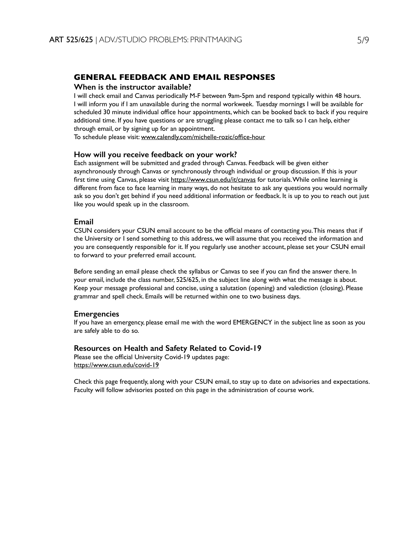## **GENERAL FEEDBACK AND EMAIL RESPONSES**

#### **When is the instructor available?**

I will check email and Canvas periodically M-F between 9am-5pm and respond typically within 48 hours. I will inform you if I am unavailable during the normal workweek. Tuesday mornings I will be available for scheduled 30 minute individual office hour appointments, which can be booked back to back if you require additional time. If you have questions or are struggling please contact me to talk so I can help, either through email, or by signing up for an appointment.

To schedule please visit: www.calendly.com/michelle-rozic/office-hour

#### **How will you receive feedback on your work?**

Each assignment will be submitted and graded through Canvas. Feedback will be given either asynchronously through Canvas or synchronously through individual or group discussion. If this is your first time using Canvas, please visit https://www.csun.edu/it/canvas for tutorials. While online learning is different from face to face learning in many ways, do not hesitate to ask any questions you would normally ask so you don't get behind if you need additional information or feedback. It is up to you to reach out just like you would speak up in the classroom.

#### **Email**

CSUN considers your CSUN email account to be the official means of contacting you. This means that if the University or I send something to this address, we will assume that you received the information and you are consequently responsible for it. If you regularly use another account, please set your CSUN email to forward to your preferred email account.

Before sending an email please check the syllabus or Canvas to see if you can find the answer there. In your email, include the class number, 525/625, in the subject line along with what the message is about. Keep your message professional and concise, using a salutation (opening) and valediction (closing). Please grammar and spell check. Emails will be returned within one to two business days.

#### **Emergencies**

If you have an emergency, please email me with the word EMERGENCY in the subject line as soon as you are safely able to do so.

#### **Resources on Health and Safety Related to Covid-19**

Please see the official University Covid-19 updates page: https://www.csun.edu/covid-19

Check this page frequently, along with your CSUN email, to stay up to date on advisories and expectations. Faculty will follow advisories posted on this page in the administration of course work.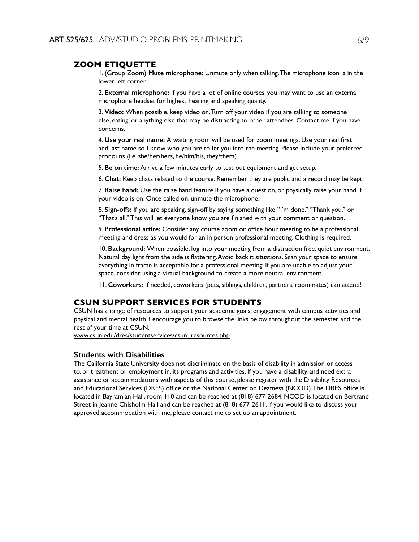### **ZOOM ETIQUETTE**

1. (Group Zoom) **Mute microphone:** Unmute only when talking. The microphone icon is in the lower left corner.

2. **External microphone:** If you have a lot of online courses, you may want to use an external microphone headset for highest hearing and speaking quality.

3. **Video:** When possible, keep video on. Turn off your video if you are talking to someone else, eating, or anything else that may be distracting to other attendees. Contact me if you have concerns.

4. **Use your real name:** A waiting room will be used for zoom meetings. Use your real first and last name so I know who you are to let you into the meeting. Please include your preferred pronouns (i.e. she/her/hers, he/him/his, they/them).

5. **Be on time:** Arrive a few minutes early to test out equipment and get setup.

6. **Chat:** Keep chats related to the course. Remember they are public and a record may be kept.

7. **Raise hand:** Use the raise hand feature if you have a question, or physically raise your hand if your video is on. Once called on, unmute the microphone.

8. **Sign-offs:** If you are speaking, sign-off by saying something like: "I'm done." "Thank you." or "That's all." This will let everyone know you are finished with your comment or question.

9. **Professional attire:** Consider any course zoom or office hour meeting to be a professional meeting and dress as you would for an in person professional meeting. Clothing is required.

10. **Background:** When possible, log into your meeting from a distraction free, quiet environment. Natural day light from the side is flattering. Avoid backlit situations. Scan your space to ensure everything in frame is acceptable for a professional meeting. If you are unable to adjust your space, consider using a virtual background to create a more neutral environment.

11. **Coworkers:** If needed, coworkers (pets, siblings, children, partners, roommates) can attend!

## **CSUN SUPPORT SERVICES FOR STUDENTS**

CSUN has a range of resources to support your academic goals, engagement with campus activities and physical and mental health. I encourage you to browse the links below throughout the semester and the rest of your time at CSUN.

www.csun.edu/dres/studentservices/csun\_resources.php

### **Students with Disabilities**

The California State University does not discriminate on the basis of disability in admission or access to, or treatment or employment in, its programs and activities. If you have a disability and need extra assistance or accommodations with aspects of this course, please register with the Disability Resources and Educational Services (DRES) office or the National Center on Deafness (NCOD). The DRES office is located in Bayramian Hall, room 110 and can be reached at (818) 677-2684. NCOD is located on Bertrand Street in Jeanne Chisholm Hall and can be reached at (818) 677-2611. If you would like to discuss your approved accommodation with me, please contact me to set up an appointment.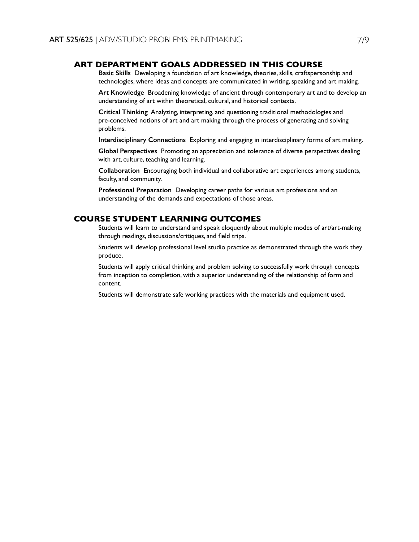## **ART DEPARTMENT GOALS ADDRESSED IN THIS COURSE**

**Basic Skills** Developing a foundation of art knowledge, theories, skills, craftspersonship and technologies, where ideas and concepts are communicated in writing, speaking and art making.

**Art Knowledge** Broadening knowledge of ancient through contemporary art and to develop an understanding of art within theoretical, cultural, and historical contexts.

**Critical Thinking** Analyzing, interpreting, and questioning traditional methodologies and pre-conceived notions of art and art making through the process of generating and solving problems.

**Interdisciplinary Connections** Exploring and engaging in interdisciplinary forms of art making.

**Global Perspectives** Promoting an appreciation and tolerance of diverse perspectives dealing with art, culture, teaching and learning.

**Collaboration** Encouraging both individual and collaborative art experiences among students, faculty, and community.

**Professional Preparation** Developing career paths for various art professions and an understanding of the demands and expectations of those areas.

### **COURSE STUDENT LEARNING OUTCOMES**

Students will learn to understand and speak eloquently about multiple modes of art/art-making through readings, discussions/critiques, and field trips.

Students will develop professional level studio practice as demonstrated through the work they produce.

Students will apply critical thinking and problem solving to successfully work through concepts from inception to completion, with a superior understanding of the relationship of form and content.

Students will demonstrate safe working practices with the materials and equipment used.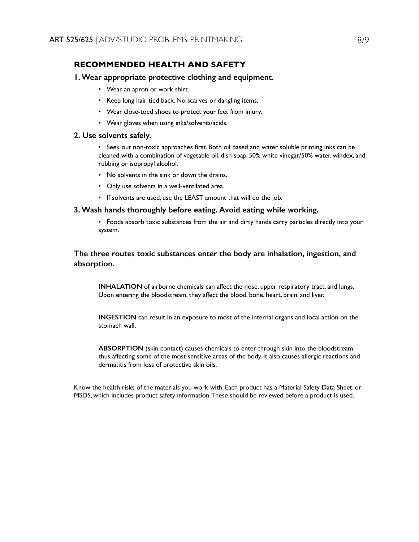## **RECOMMENDED HEALTH AND SAFETY**

#### **1. Wear appropriate protective clothing and equipment.**

- Wear an apron or work shirt.
- Keep long hair tied back. No scarves or dangling items.
- Wear close-toed shoes to protect your feet from injury.
- Wear gloves when using inks/solvents/acids.

#### **2. Use solvents safely.**

• Seek out non-toxic approaches first. Both oil based and water soluble printing inks can be cleaned with a combination of vegetable oil, dish soap, 50% white vinegar/50% water, windex, and rubbing or isopropyl alcohol.

- No solvents in the sink or down the drains.
- Only use solvents in a well-ventilated area.
- If solvents are used, use the LEAST amount that will do the job.

## **3. Wash hands thoroughly before eating. Avoid eating while working.**

• Foods absorb toxic substances from the air and dirty hands carry particles directly into your system.

## **The three routes toxic substances enter the body are inhalation, ingestion, and absorption.**

**INHALATION** of airborne chemicals can affect the nose, upper respiratory tract, and lungs. Upon entering the bloodstream, they affect the blood, bone, heart, brain, and liver.

**INGESTION** can result in an exposure to most of the internal organs and local action on the stomach wall.

**ABSORPTION** (skin contact) causes chemicals to enter through skin into the bloodstream thus affecting some of the most sensitive areas of the body. It also causes allergic reactions and dermatitis from loss of protective skin oils.

Know the health risks of the materials you work with. Each product has a Material Safety Data Sheet, or MSDS, which includes product safety information. These should be reviewed before a product is used.